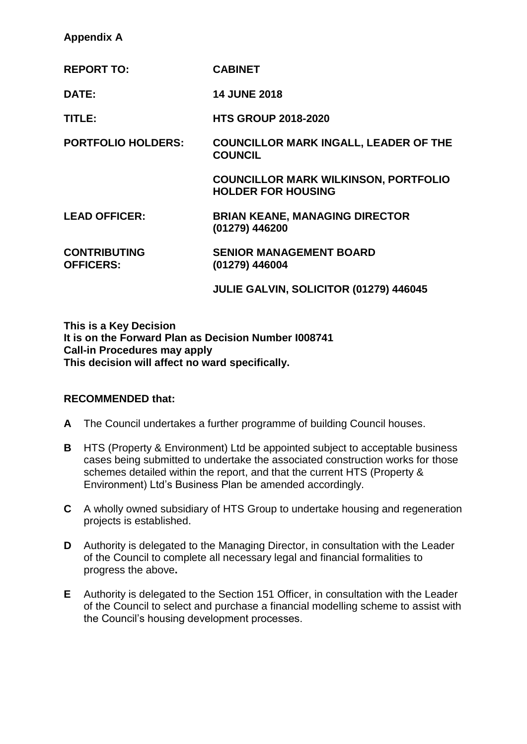# **Appendix A**

| <b>REPORT TO:</b>                       | <b>CABINET</b>                                                           |
|-----------------------------------------|--------------------------------------------------------------------------|
| DATE:                                   | <b>14 JUNE 2018</b>                                                      |
| TITLE:                                  | <b>HTS GROUP 2018-2020</b>                                               |
| <b>PORTFOLIO HOLDERS:</b>               | <b>COUNCILLOR MARK INGALL, LEADER OF THE</b><br><b>COUNCIL</b>           |
|                                         | <b>COUNCILLOR MARK WILKINSON, PORTFOLIO</b><br><b>HOLDER FOR HOUSING</b> |
| <b>LEAD OFFICER:</b>                    | <b>BRIAN KEANE, MANAGING DIRECTOR</b><br>(01279) 446200                  |
| <b>CONTRIBUTING</b><br><b>OFFICERS:</b> | <b>SENIOR MANAGEMENT BOARD</b><br>(01279) 446004                         |
|                                         | JULIE GALVIN, SOLICITOR (01279) 446045                                   |

**This is a Key Decision It is on the Forward Plan as Decision Number I008741 Call-in Procedures may apply This decision will affect no ward specifically.**

# **RECOMMENDED that:**

- **A** The Council undertakes a further programme of building Council houses.
- **B** HTS (Property & Environment) Ltd be appointed subject to acceptable business cases being submitted to undertake the associated construction works for those schemes detailed within the report, and that the current HTS (Property & Environment) Ltd's Business Plan be amended accordingly.
- **C** A wholly owned subsidiary of HTS Group to undertake housing and regeneration projects is established.
- **D** Authority is delegated to the Managing Director, in consultation with the Leader of the Council to complete all necessary legal and financial formalities to progress the above**.**
- **E** Authority is delegated to the Section 151 Officer, in consultation with the Leader of the Council to select and purchase a financial modelling scheme to assist with the Council's housing development processes.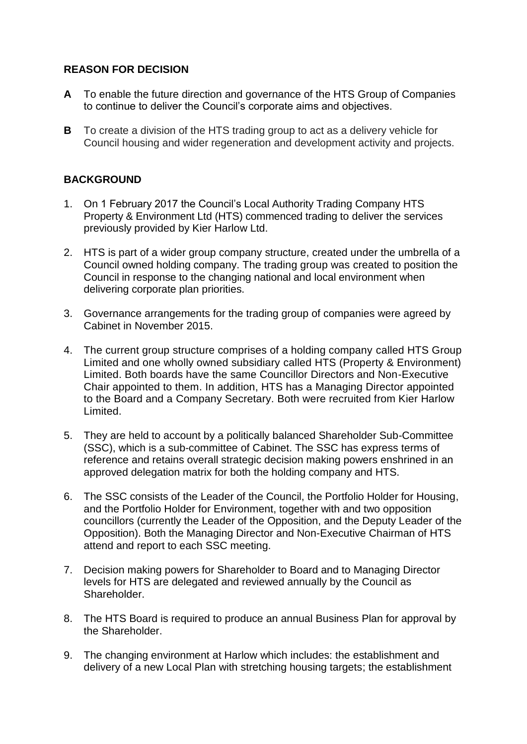# **REASON FOR DECISION**

- **A** To enable the future direction and governance of the HTS Group of Companies to continue to deliver the Council's corporate aims and objectives.
- **B** To create a division of the HTS trading group to act as a delivery vehicle for Council housing and wider regeneration and development activity and projects.

# **BACKGROUND**

- 1. On 1 February 2017 the Council's Local Authority Trading Company HTS Property & Environment Ltd (HTS) commenced trading to deliver the services previously provided by Kier Harlow Ltd.
- 2. HTS is part of a wider group company structure, created under the umbrella of a Council owned holding company. The trading group was created to position the Council in response to the changing national and local environment when delivering corporate plan priorities.
- 3. Governance arrangements for the trading group of companies were agreed by Cabinet in November 2015.
- 4. The current group structure comprises of a holding company called HTS Group Limited and one wholly owned subsidiary called HTS (Property & Environment) Limited. Both boards have the same Councillor Directors and Non-Executive Chair appointed to them. In addition, HTS has a Managing Director appointed to the Board and a Company Secretary. Both were recruited from Kier Harlow Limited.
- 5. They are held to account by a politically balanced Shareholder Sub-Committee (SSC), which is a sub-committee of Cabinet. The SSC has express terms of reference and retains overall strategic decision making powers enshrined in an approved delegation matrix for both the holding company and HTS.
- 6. The SSC consists of the Leader of the Council, the Portfolio Holder for Housing, and the Portfolio Holder for Environment, together with and two opposition councillors (currently the Leader of the Opposition, and the Deputy Leader of the Opposition). Both the Managing Director and Non-Executive Chairman of HTS attend and report to each SSC meeting.
- 7. Decision making powers for Shareholder to Board and to Managing Director levels for HTS are delegated and reviewed annually by the Council as Shareholder.
- 8. The HTS Board is required to produce an annual Business Plan for approval by the Shareholder.
- 9. The changing environment at Harlow which includes: the establishment and delivery of a new Local Plan with stretching housing targets; the establishment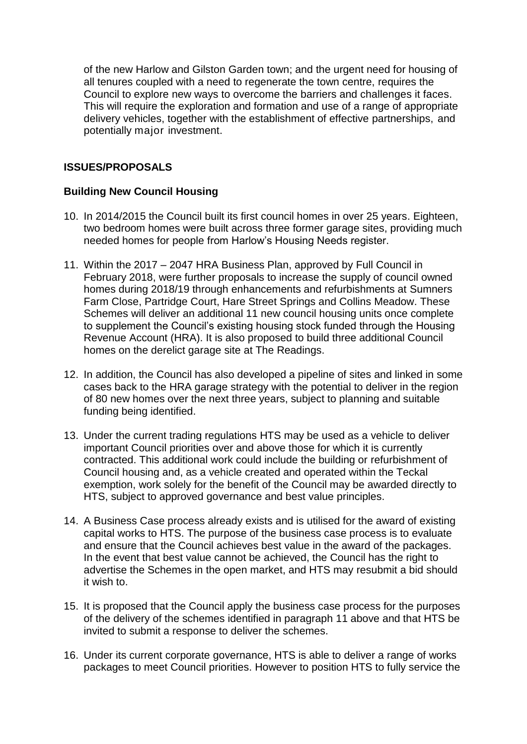of the new Harlow and Gilston Garden town; and the urgent need for housing of all tenures coupled with a need to regenerate the town centre, requires the Council to explore new ways to overcome the barriers and challenges it faces. This will require the exploration and formation and use of a range of appropriate delivery vehicles, together with the establishment of effective partnerships, and potentially major investment.

# **ISSUES/PROPOSALS**

# **Building New Council Housing**

- 10. In 2014/2015 the Council built its first council homes in over 25 years. Eighteen, two bedroom homes were built across three former garage sites, providing much needed homes for people from Harlow's Housing Needs register.
- 11. Within the 2017 2047 HRA Business Plan, approved by Full Council in February 2018, were further proposals to increase the supply of council owned homes during 2018/19 through enhancements and refurbishments at Sumners Farm Close, Partridge Court, Hare Street Springs and Collins Meadow. These Schemes will deliver an additional 11 new council housing units once complete to supplement the Council's existing housing stock funded through the Housing Revenue Account (HRA). It is also proposed to build three additional Council homes on the derelict garage site at The Readings.
- 12. In addition, the Council has also developed a pipeline of sites and linked in some cases back to the HRA garage strategy with the potential to deliver in the region of 80 new homes over the next three years, subject to planning and suitable funding being identified.
- 13. Under the current trading regulations HTS may be used as a vehicle to deliver important Council priorities over and above those for which it is currently contracted. This additional work could include the building or refurbishment of Council housing and, as a vehicle created and operated within the Teckal exemption, work solely for the benefit of the Council may be awarded directly to HTS, subject to approved governance and best value principles.
- 14. A Business Case process already exists and is utilised for the award of existing capital works to HTS. The purpose of the business case process is to evaluate and ensure that the Council achieves best value in the award of the packages. In the event that best value cannot be achieved, the Council has the right to advertise the Schemes in the open market, and HTS may resubmit a bid should it wish to.
- 15. It is proposed that the Council apply the business case process for the purposes of the delivery of the schemes identified in paragraph 11 above and that HTS be invited to submit a response to deliver the schemes.
- 16. Under its current corporate governance, HTS is able to deliver a range of works packages to meet Council priorities. However to position HTS to fully service the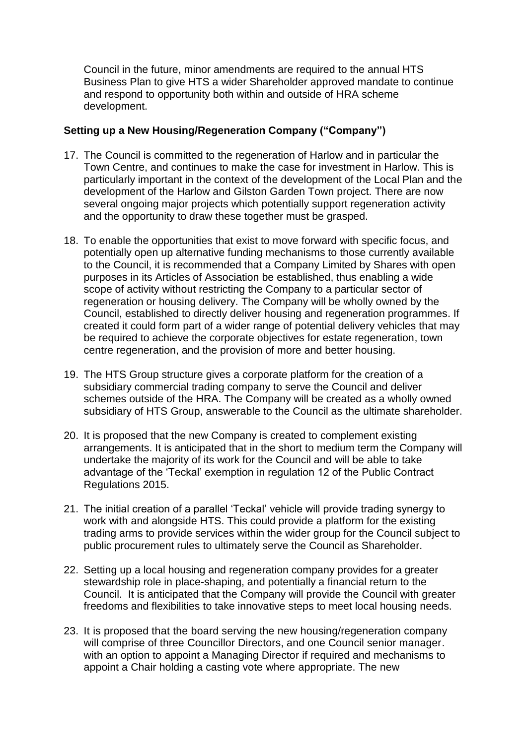Council in the future, minor amendments are required to the annual HTS Business Plan to give HTS a wider Shareholder approved mandate to continue and respond to opportunity both within and outside of HRA scheme development.

### **Setting up a New Housing/Regeneration Company ("Company")**

- 17. The Council is committed to the regeneration of Harlow and in particular the Town Centre, and continues to make the case for investment in Harlow. This is particularly important in the context of the development of the Local Plan and the development of the Harlow and Gilston Garden Town project. There are now several ongoing major projects which potentially support regeneration activity and the opportunity to draw these together must be grasped.
- 18. To enable the opportunities that exist to move forward with specific focus, and potentially open up alternative funding mechanisms to those currently available to the Council, it is recommended that a Company Limited by Shares with open purposes in its Articles of Association be established, thus enabling a wide scope of activity without restricting the Company to a particular sector of regeneration or housing delivery. The Company will be wholly owned by the Council, established to directly deliver housing and regeneration programmes. If created it could form part of a wider range of potential delivery vehicles that may be required to achieve the corporate objectives for estate regeneration, town centre regeneration, and the provision of more and better housing.
- 19. The HTS Group structure gives a corporate platform for the creation of a subsidiary commercial trading company to serve the Council and deliver schemes outside of the HRA. The Company will be created as a wholly owned subsidiary of HTS Group, answerable to the Council as the ultimate shareholder.
- 20. It is proposed that the new Company is created to complement existing arrangements. It is anticipated that in the short to medium term the Company will undertake the majority of its work for the Council and will be able to take advantage of the 'Teckal' exemption in regulation 12 of the Public Contract Regulations 2015.
- 21. The initial creation of a parallel 'Teckal' vehicle will provide trading synergy to work with and alongside HTS. This could provide a platform for the existing trading arms to provide services within the wider group for the Council subject to public procurement rules to ultimately serve the Council as Shareholder.
- 22. Setting up a local housing and regeneration company provides for a greater stewardship role in place-shaping, and potentially a financial return to the Council. It is anticipated that the Company will provide the Council with greater freedoms and flexibilities to take innovative steps to meet local housing needs.
- 23. It is proposed that the board serving the new housing/regeneration company will comprise of three Councillor Directors, and one Council senior manager. with an option to appoint a Managing Director if required and mechanisms to appoint a Chair holding a casting vote where appropriate. The new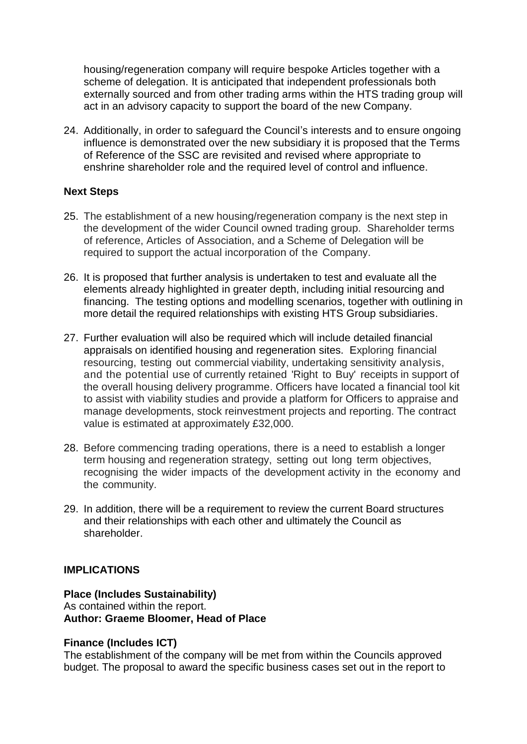housing/regeneration company will require bespoke Articles together with a scheme of delegation. It is anticipated that independent professionals both externally sourced and from other trading arms within the HTS trading group will act in an advisory capacity to support the board of the new Company.

24. Additionally, in order to safeguard the Council's interests and to ensure ongoing influence is demonstrated over the new subsidiary it is proposed that the Terms of Reference of the SSC are revisited and revised where appropriate to enshrine shareholder role and the required level of control and influence.

### **Next Steps**

- 25. The establishment of a new housing/regeneration company is the next step in the development of the wider Council owned trading group. Shareholder terms of reference, Articles of Association, and a Scheme of Delegation will be required to support the actual incorporation of the Company.
- 26. It is proposed that further analysis is undertaken to test and evaluate all the elements already highlighted in greater depth, including initial resourcing and financing. The testing options and modelling scenarios, together with outlining in more detail the required relationships with existing HTS Group subsidiaries.
- 27. Further evaluation will also be required which will include detailed financial appraisals on identified housing and regeneration sites. Exploring financial resourcing, testing out commercial viability, undertaking sensitivity analysis, and the potential use of currently retained 'Right to Buy' receipts in support of the overall housing delivery programme. Officers have located a financial tool kit to assist with viability studies and provide a platform for Officers to appraise and manage developments, stock reinvestment projects and reporting. The contract value is estimated at approximately £32,000.
- 28. Before commencing trading operations, there is a need to establish a longer term housing and regeneration strategy, setting out long term objectives, recognising the wider impacts of the development activity in the economy and the community.
- 29. In addition, there will be a requirement to review the current Board structures and their relationships with each other and ultimately the Council as shareholder.

### **IMPLICATIONS**

# **Place (Includes Sustainability)**

As contained within the report. **Author: Graeme Bloomer, Head of Place**

### **Finance (Includes ICT)**

The establishment of the company will be met from within the Councils approved budget. The proposal to award the specific business cases set out in the report to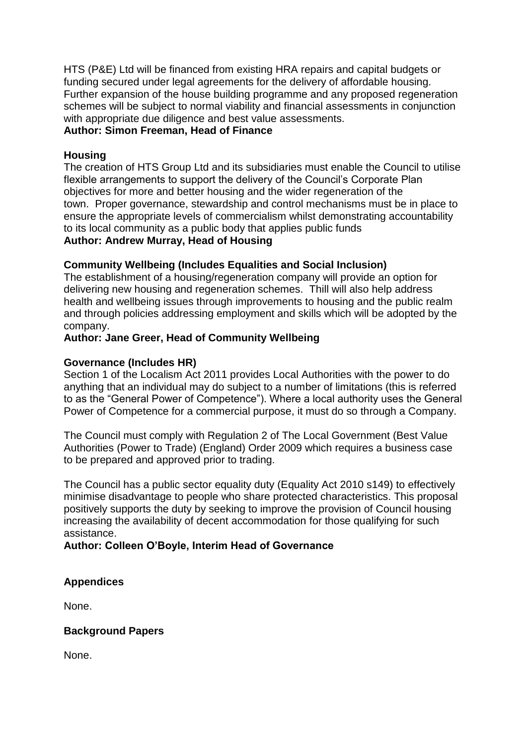HTS (P&E) Ltd will be financed from existing HRA repairs and capital budgets or funding secured under legal agreements for the delivery of affordable housing. Further expansion of the house building programme and any proposed regeneration schemes will be subject to normal viability and financial assessments in conjunction with appropriate due diligence and best value assessments.

# **Author: Simon Freeman, Head of Finance**

#### **Housing**

The creation of HTS Group Ltd and its subsidiaries must enable the Council to utilise flexible arrangements to support the delivery of the Council's Corporate Plan objectives for more and better housing and the wider regeneration of the town. Proper governance, stewardship and control mechanisms must be in place to ensure the appropriate levels of commercialism whilst demonstrating accountability to its local community as a public body that applies public funds

# **Author: Andrew Murray, Head of Housing**

### **Community Wellbeing (Includes Equalities and Social Inclusion)**

The establishment of a housing/regeneration company will provide an option for delivering new housing and regeneration schemes. Thill will also help address health and wellbeing issues through improvements to housing and the public realm and through policies addressing employment and skills which will be adopted by the company.

### **Author: Jane Greer, Head of Community Wellbeing**

#### **Governance (Includes HR)**

Section 1 of the Localism Act 2011 provides Local Authorities with the power to do anything that an individual may do subject to a number of limitations (this is referred to as the "General Power of Competence"). Where a local authority uses the General Power of Competence for a commercial purpose, it must do so through a Company.

The Council must comply with Regulation 2 of The Local Government (Best Value Authorities (Power to Trade) (England) Order 2009 which requires a business case to be prepared and approved prior to trading.

The Council has a public sector equality duty (Equality Act 2010 s149) to effectively minimise disadvantage to people who share protected characteristics. This proposal positively supports the duty by seeking to improve the provision of Council housing increasing the availability of decent accommodation for those qualifying for such assistance.

### **Author: Colleen O'Boyle, Interim Head of Governance**

### **Appendices**

None.

### **Background Papers**

None.